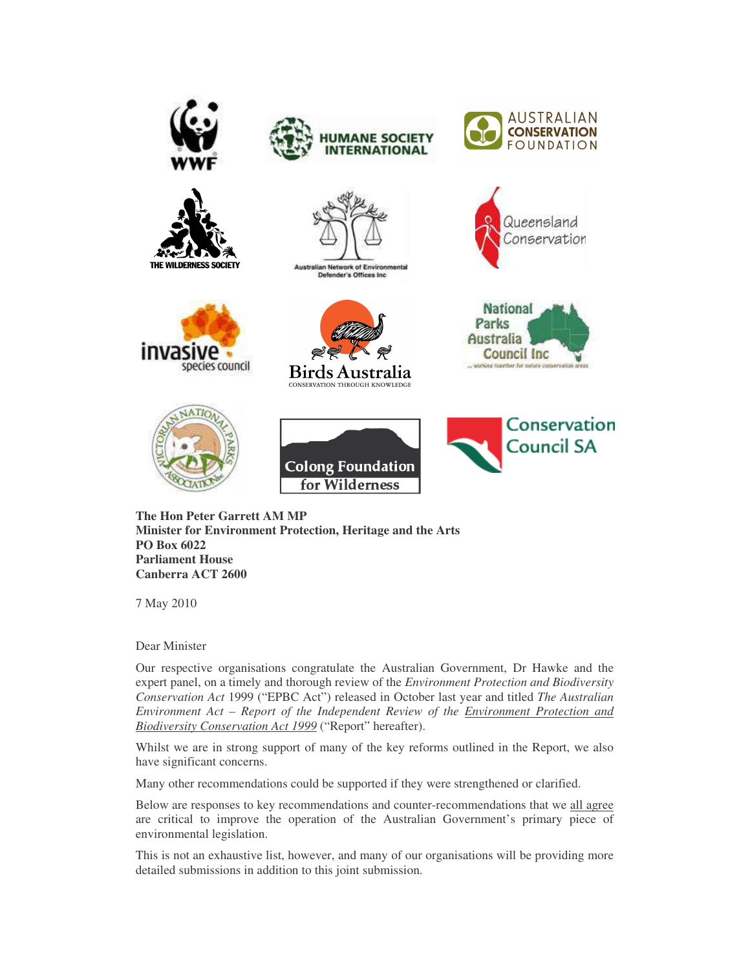

**The Hon Peter Garrett AM MP Minister for Environment Protection, Heritage and the Arts PO Box 6022 Parliament House Canberra ACT 2600**

7 May 2010

Dear Minister

Our respective organisations congratulate the Australian Government, Dr Hawke and the expert panel, on a timely and thorough review of the *Environment Protection and Biodiversity Conservation Act* 1999 ("EPBC Act") released in October last year and titled *The Australian Environment Act – Report of the Independent Review of the Environment Protection and Biodiversity Conservation Act 1999* ("Report" hereafter).

Whilst we are in strong support of many of the key reforms outlined in the Report, we also have significant concerns.

Many other recommendations could be supported if they were strengthened or clarified.

Below are responses to key recommendations and counter-recommendations that we all agree are critical to improve the operation of the Australian Government's primary piece of environmental legislation.

This is not an exhaustive list, however, and many of our organisations will be providing more detailed submissions in addition to this joint submission.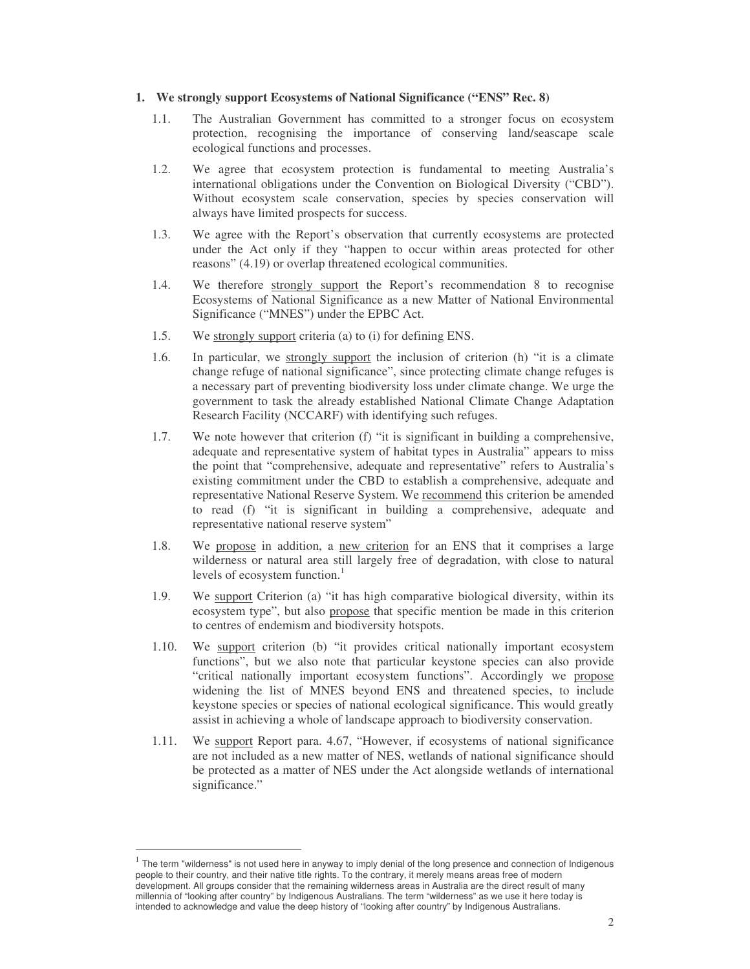#### **1. We strongly support Ecosystems of National Significance ("ENS" Rec. 8)**

- 1.1. The Australian Government has committed to a stronger focus on ecosystem protection, recognising the importance of conserving land/seascape scale ecological functions and processes.
- 1.2. We agree that ecosystem protection is fundamental to meeting Australia's international obligations under the Convention on Biological Diversity ("CBD"). Without ecosystem scale conservation, species by species conservation will always have limited prospects for success.
- 1.3. We agree with the Report's observation that currently ecosystems are protected under the Act only if they "happen to occur within areas protected for other reasons" (4.19) or overlap threatened ecological communities.
- 1.4. We therefore strongly support the Report's recommendation 8 to recognise Ecosystems of National Significance as a new Matter of National Environmental Significance ("MNES") under the EPBC Act.
- 1.5. We strongly support criteria (a) to (i) for defining ENS.
- 1.6. In particular, we <u>strongly support</u> the inclusion of criterion (h) "it is a climate change refuge of national significance", since protecting climate change refuges is a necessary part of preventing biodiversity loss under climate change. We urge the government to task the already established National Climate Change Adaptation Research Facility (NCCARF) with identifying such refuges.
- 1.7. We note however that criterion (f) "it is significant in building a comprehensive, adequate and representative system of habitat types in Australia" appears to miss the point that "comprehensive, adequate and representative" refers to Australia's existing commitment under the CBD to establish a comprehensive, adequate and representative National Reserve System. We recommend this criterion be amended to read (f) "it is significant in building a comprehensive, adequate and representative national reserve system"
- 1.8. We propose in addition, a new criterion for an ENS that it comprises a large wilderness or natural area still largely free of degradation, with close to natural levels of ecosystem function. 1
- 1.9. We support Criterion (a) "it has high comparative biological diversity, within its ecosystem type", but also propose that specific mention be made in this criterion to centres of endemism and biodiversity hotspots.
- 1.10. We support criterion (b) "it provides critical nationally important ecosystem functions", but we also note that particular keystone species can also provide "critical nationally important ecosystem functions". Accordingly we propose widening the list of MNES beyond ENS and threatened species, to include keystone species or species of national ecological significance. This would greatly assist in achieving a whole of landscape approach to biodiversity conservation.
- 1.11. We support Report para. 4.67, "However, if ecosystems of national significance are not included as a new matter of NES, wetlands of national significance should be protected as a matter of NES under the Act alongside wetlands of international significance."

<sup>1</sup> The term "wilderness" is not used here in anyway to imply denial of the long presence and connection of Indigenous people to their country, and their native title rights. To the contrary, it merely means areas free of modern development. All groups consider that the remaining wilderness areas in Australia are the direct result of many millennia of "looking after country" by Indigenous Australians. The term "wilderness" as we use it here today is intended to acknowledge and value the deep history of "looking after country" by Indigenous Australians.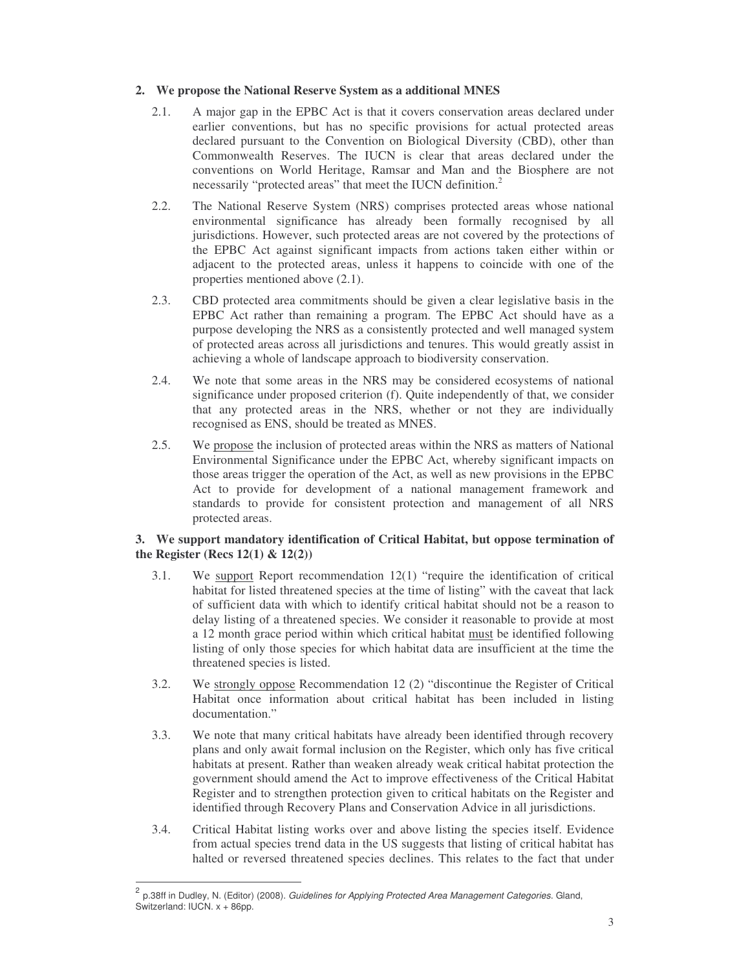# **2. We propose the National Reserve System as a additional MNES**

- 2.1. A major gap in the EPBC Act is that it covers conservation areas declared under earlier conventions, but has no specific provisions for actual protected areas declared pursuant to the Convention on Biological Diversity (CBD), other than Commonwealth Reserves. The IUCN is clear that areas declared under the conventions on World Heritage, Ramsar and Man and the Biosphere are not necessarily "protected areas" that meet the IUCN definition.<sup>2</sup>
- 2.2. The National Reserve System (NRS) comprises protected areas whose national environmental significance has already been formally recognised by all jurisdictions. However, such protected areas are not covered by the protections of the EPBC Act against significant impacts from actions taken either within or adjacent to the protected areas, unless it happens to coincide with one of the properties mentioned above (2.1).
- 2.3. CBD protected area commitments should be given a clear legislative basis in the EPBC Act rather than remaining a program. The EPBC Act should have as a purpose developing the NRS as a consistently protected and well managed system of protected areas across all jurisdictions and tenures. This would greatly assist in achieving a whole of landscape approach to biodiversity conservation.
- 2.4. We note that some areas in the NRS may be considered ecosystems of national significance under proposed criterion (f). Quite independently of that, we consider that any protected areas in the NRS, whether or not they are individually recognised as ENS, should be treated as MNES.
- 2.5. We propose the inclusion of protected areas within the NRS as matters of National Environmental Significance under the EPBC Act, whereby significant impacts on those areas trigger the operation of the Act, as well as new provisions in the EPBC Act to provide for development of a national management framework and standards to provide for consistent protection and management of all NRS protected areas.

# **3. We support mandatory identification of Critical Habitat, but oppose termination of the Register (Recs 12(1) & 12(2))**

- 3.1. We support Report recommendation 12(1) "require the identification of critical habitat for listed threatened species at the time of listing" with the caveat that lack of sufficient data with which to identify critical habitat should not be a reason to delay listing of a threatened species. We consider it reasonable to provide at most a 12 month grace period within which critical habitat must be identified following listing of only those species for which habitat data are insufficient at the time the threatened species is listed.
- 3.2. We strongly oppose Recommendation 12 (2) "discontinue the Register of Critical Habitat once information about critical habitat has been included in listing documentation."
- 3.3. We note that many critical habitats have already been identified through recovery plans and only await formal inclusion on the Register, which only has five critical habitats at present. Rather than weaken already weak critical habitat protection the government should amend the Act to improve effectiveness of the Critical Habitat Register and to strengthen protection given to critical habitats on the Register and identified through Recovery Plans and Conservation Advice in all jurisdictions.
- 3.4. Critical Habitat listing works over and above listing the species itself. Evidence from actual species trend data in the US suggests that listing of critical habitat has halted or reversed threatened species declines. This relates to the fact that under

<sup>2</sup> p.38ff in Dudley, N. (Editor) (2008). *Guidelines for Applying Protected Area Management Categories*. Gland, Switzerland: IUCN. x + 86pp.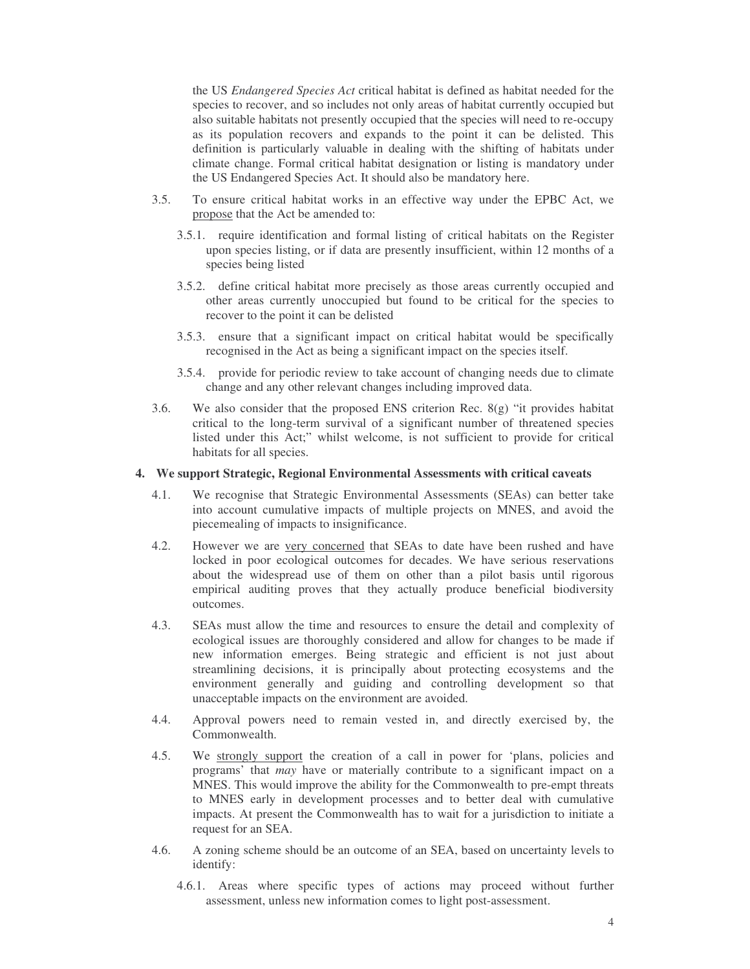the US *Endangered Species Act* critical habitat is defined as habitat needed for the species to recover, and so includes not only areas of habitat currently occupied but also suitable habitats not presently occupied that the species will need to re-occupy as its population recovers and expands to the point it can be delisted. This definition is particularly valuable in dealing with the shifting of habitats under climate change. Formal critical habitat designation or listing is mandatory under the US Endangered Species Act. It should also be mandatory here.

- 3.5. To ensure critical habitat works in an effective way under the EPBC Act, we propose that the Act be amended to:
	- 3.5.1. require identification and formal listing of critical habitats on the Register upon species listing, or if data are presently insufficient, within 12 months of a species being listed
	- 3.5.2. define critical habitat more precisely as those areas currently occupied and other areas currently unoccupied but found to be critical for the species to recover to the point it can be delisted
	- 3.5.3. ensure that a significant impact on critical habitat would be specifically recognised in the Act as being a significant impact on the species itself.
	- 3.5.4. provide for periodic review to take account of changing needs due to climate change and any other relevant changes including improved data.
- 3.6. We also consider that the proposed ENS criterion Rec.  $8(g)$  "it provides habitat critical to the long-term survival of a significant number of threatened species listed under this Act;" whilst welcome, is not sufficient to provide for critical habitats for all species.

#### **4. We support Strategic, Regional Environmental Assessments with critical caveats**

- 4.1. We recognise that Strategic Environmental Assessments (SEAs) can better take into account cumulative impacts of multiple projects on MNES, and avoid the piecemealing of impacts to insignificance.
- 4.2. However we are very concerned that SEAs to date have been rushed and have locked in poor ecological outcomes for decades. We have serious reservations about the widespread use of them on other than a pilot basis until rigorous empirical auditing proves that they actually produce beneficial biodiversity outcomes.
- 4.3. SEAs must allow the time and resources to ensure the detail and complexity of ecological issues are thoroughly considered and allow for changes to be made if new information emerges. Being strategic and efficient is not just about streamlining decisions, it is principally about protecting ecosystems and the environment generally and guiding and controlling development so that unacceptable impacts on the environment are avoided.
- 4.4. Approval powers need to remain vested in, and directly exercised by, the Commonwealth.
- 4.5. We strongly support the creation of a call in power for 'plans, policies and programs' that *may* have or materially contribute to a significant impact on a MNES. This would improve the ability for the Commonwealth to pre-empt threats to MNES early in development processes and to better deal with cumulative impacts. At present the Commonwealth has to wait for a jurisdiction to initiate a request for an SEA.
- 4.6. A zoning scheme should be an outcome of an SEA, based on uncertainty levels to identify:
	- 4.6.1. Areas where specific types of actions may proceed without further assessment, unless new information comes to light post-assessment.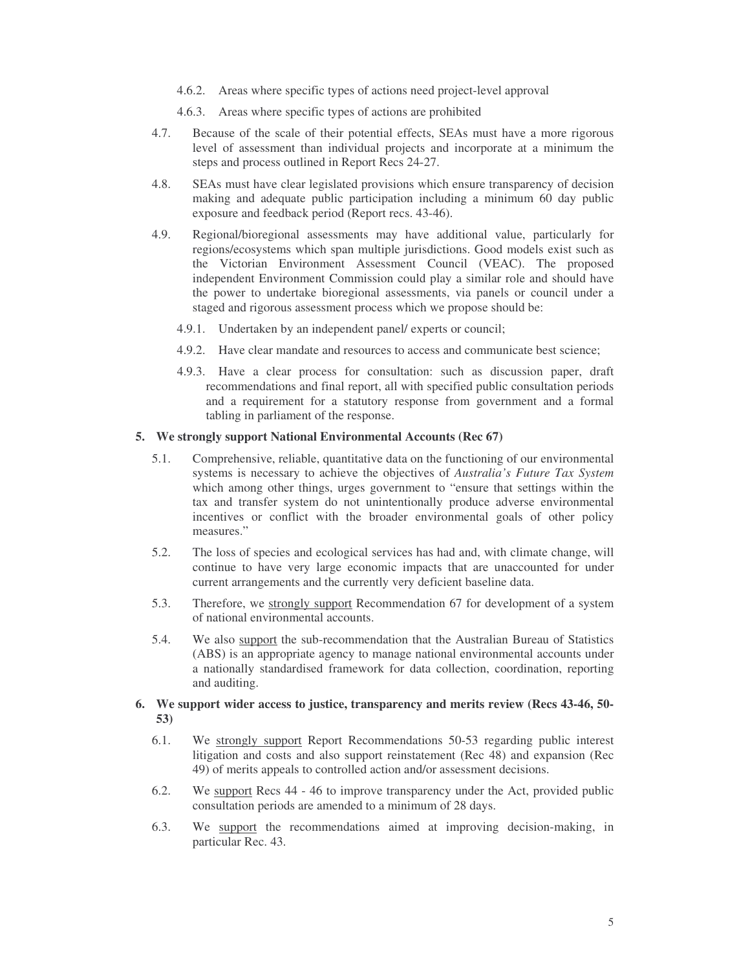- 4.6.2. Areas where specific types of actions need project-level approval
- 4.6.3. Areas where specific types of actions are prohibited
- 4.7. Because of the scale of their potential effects, SEAs must have a more rigorous level of assessment than individual projects and incorporate at a minimum the steps and process outlined in Report Recs 24-27.
- 4.8. SEAs must have clear legislated provisions which ensure transparency of decision making and adequate public participation including a minimum 60 day public exposure and feedback period (Report recs. 43-46).
- 4.9. Regional/bioregional assessments may have additional value, particularly for regions/ecosystems which span multiple jurisdictions. Good models exist such as the Victorian Environment Assessment Council (VEAC). The proposed independent Environment Commission could play a similar role and should have the power to undertake bioregional assessments, via panels or council under a staged and rigorous assessment process which we propose should be:
	- 4.9.1. Undertaken by an independent panel/ experts or council;
	- 4.9.2. Have clear mandate and resources to access and communicate best science;
	- 4.9.3. Have a clear process for consultation: such as discussion paper, draft recommendations and final report, all with specified public consultation periods and a requirement for a statutory response from government and a formal tabling in parliament of the response.

# **5. We strongly support National Environmental Accounts (Rec 67)**

- 5.1. Comprehensive, reliable, quantitative data on the functioning of our environmental systems is necessary to achieve the objectives of *Australia's Future Tax System* which among other things, urges government to "ensure that settings within the tax and transfer system do not unintentionally produce adverse environmental incentives or conflict with the broader environmental goals of other policy measures."
- 5.2. The loss of species and ecological services has had and, with climate change, will continue to have very large economic impacts that are unaccounted for under current arrangements and the currently very deficient baseline data.
- 5.3. Therefore, we strongly support Recommendation 67 for development of a system of national environmental accounts.
- 5.4. We also support the sub-recommendation that the Australian Bureau of Statistics (ABS) is an appropriate agency to manage national environmental accounts under a nationally standardised framework for data collection, coordination, reporting and auditing.

#### **6. We support wider access to justice, transparency and merits review (Recs 43-46, 50- 53)**

- 6.1. We strongly support Report Recommendations 50-53 regarding public interest litigation and costs and also support reinstatement (Rec 48) and expansion (Rec 49) of merits appeals to controlled action and/or assessment decisions.
- 6.2. We support Recs 44 46 to improve transparency under the Act, provided public consultation periods are amended to a minimum of 28 days.
- 6.3. We support the recommendations aimed at improving decision-making, in particular Rec. 43.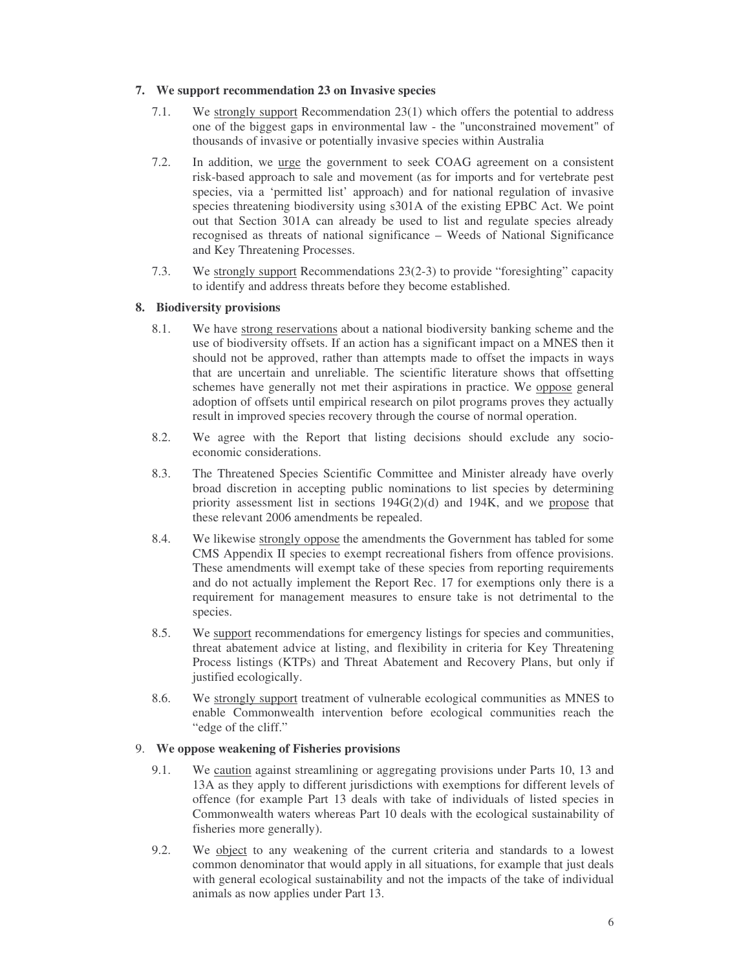# **7. We support recommendation 23 on Invasive species**

- 7.1. We strongly support Recommendation 23(1) which offers the potential to address one of the biggest gaps in environmental law - the "unconstrained movement" of thousands of invasive or potentially invasive species within Australia
- 7.2. In addition, we urge the government to seek COAG agreement on a consistent risk-based approach to sale and movement (as for imports and for vertebrate pest species, via a 'permitted list' approach) and for national regulation of invasive species threatening biodiversity using s301A of the existing EPBC Act. We point out that Section 301A can already be used to list and regulate species already recognised as threats of national significance – Weeds of National Significance and Key Threatening Processes.
- 7.3. We strongly support Recommendations 23(2-3) to provide "foresighting" capacity to identify and address threats before they become established.

# **8. Biodiversity provisions**

- 8.1. We have strong reservations about a national biodiversity banking scheme and the use of biodiversity offsets. If an action has a significant impact on a MNES then it should not be approved, rather than attempts made to offset the impacts in ways that are uncertain and unreliable. The scientific literature shows that offsetting schemes have generally not met their aspirations in practice. We oppose general adoption of offsets until empirical research on pilot programs proves they actually result in improved species recovery through the course of normal operation.
- 8.2. We agree with the Report that listing decisions should exclude any socioeconomic considerations.
- 8.3. The Threatened Species Scientific Committee and Minister already have overly broad discretion in accepting public nominations to list species by determining priority assessment list in sections 194G(2)(d) and 194K, and we propose that these relevant 2006 amendments be repealed.
- 8.4. We likewise strongly oppose the amendments the Government has tabled for some CMS Appendix II species to exempt recreational fishers from offence provisions. These amendments will exempt take of these species from reporting requirements and do not actually implement the Report Rec. 17 for exemptions only there is a requirement for management measures to ensure take is not detrimental to the species.
- 8.5. We support recommendations for emergency listings for species and communities, threat abatement advice at listing, and flexibility in criteria for Key Threatening Process listings (KTPs) and Threat Abatement and Recovery Plans, but only if justified ecologically.
- 8.6. We strongly support treatment of vulnerable ecological communities as MNES to enable Commonwealth intervention before ecological communities reach the "edge of the cliff."

# 9. **We oppose weakening of Fisheries provisions**

- 9.1. We caution against streamlining or aggregating provisions under Parts 10, 13 and 13A as they apply to different jurisdictions with exemptions for different levels of offence (for example Part 13 deals with take of individuals of listed species in Commonwealth waters whereas Part 10 deals with the ecological sustainability of fisheries more generally).
- 9.2. We object to any weakening of the current criteria and standards to a lowest common denominator that would apply in all situations, for example that just deals with general ecological sustainability and not the impacts of the take of individual animals as now applies under Part 13.